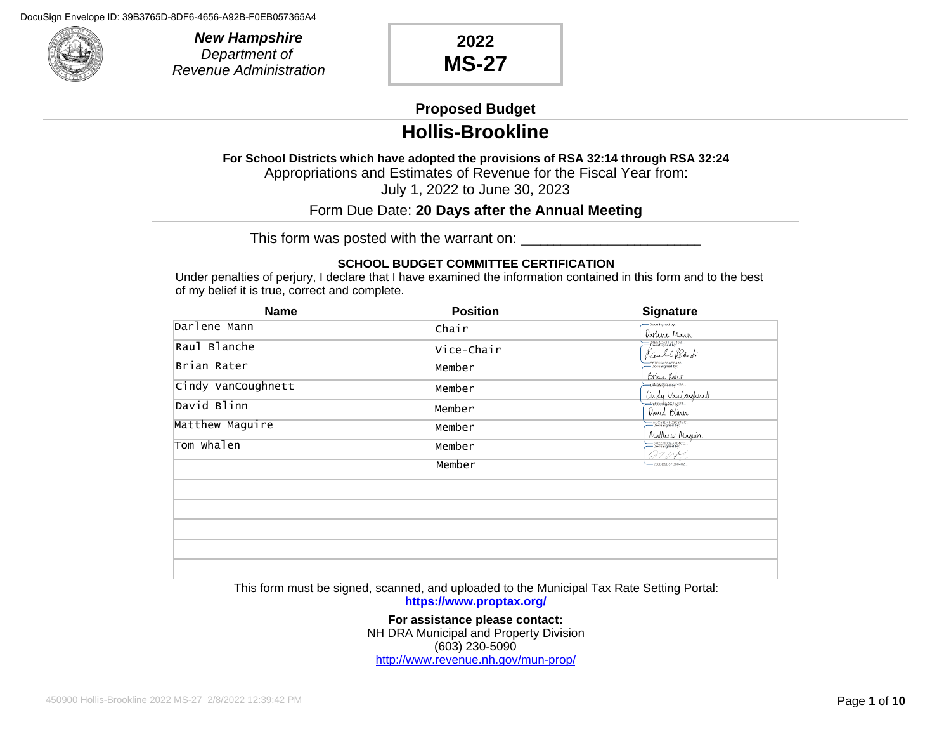

**New Hampshire** Department of Revenue Administration

### **2022 MS-27**

#### **Proposed Budget**

### **Hollis-Brookline**

**For School Districts which have adopted the provisions of RSA 32:14 through RSA 32:24** Appropriations and Estimates of Revenue for the Fiscal Year from:

July 1, 2022 to June 30, 2023

#### Form Due Date: **20 Days after the Annual Meeting**

This form was posted with the warrant on: \_\_\_\_\_\_\_\_\_\_\_\_\_\_\_\_\_\_\_\_\_\_\_\_\_\_\_

#### **SCHOOL BUDGET COMMITTEE CERTIFICATION**

Under penalties of perjury, I declare that I have examined the information contained in this form and to the best of my belief it is true, correct and complete.

| <b>Name</b>        | <b>Position</b> | <b>Signature</b>                                        |
|--------------------|-----------------|---------------------------------------------------------|
| Darlene Mann       | Chair           | DocuSigned by:<br>Darlene Mann                          |
| Raul Blanche       | Vice-Chair      | -D4EE1CA21D6749B<br>Rault Band                          |
| Brian Rater        | Member          | -<br>-S67F0A456AEF436<br>-DocuSigned by:<br>Brian Rater |
| Cindy VanCoughnett | Member          | -000096000050743A.                                      |
| David Blinn        | Member          | Cindy VanCoughnett<br>David Blinn                       |
| Matthew Maguire    | Member          | -ACC58D45D3C84EC<br>- DocuSigned by:                    |
| Tom Whalen         | Member          | Matthew Maguire<br>27 IN 1                              |
|                    | Member          | -206BD9B57D60402                                        |
|                    |                 |                                                         |
|                    |                 |                                                         |
|                    |                 |                                                         |
|                    |                 |                                                         |
|                    |                 |                                                         |

This form must be signed, scanned, and uploaded to the Municipal Tax Rate Setting Portal:

**https://www.proptax.org/**

**For assistance please contact:** NH DRA Municipal and Property Division (603) 230-5090 http://www.revenue.nh.gov/mun-prop/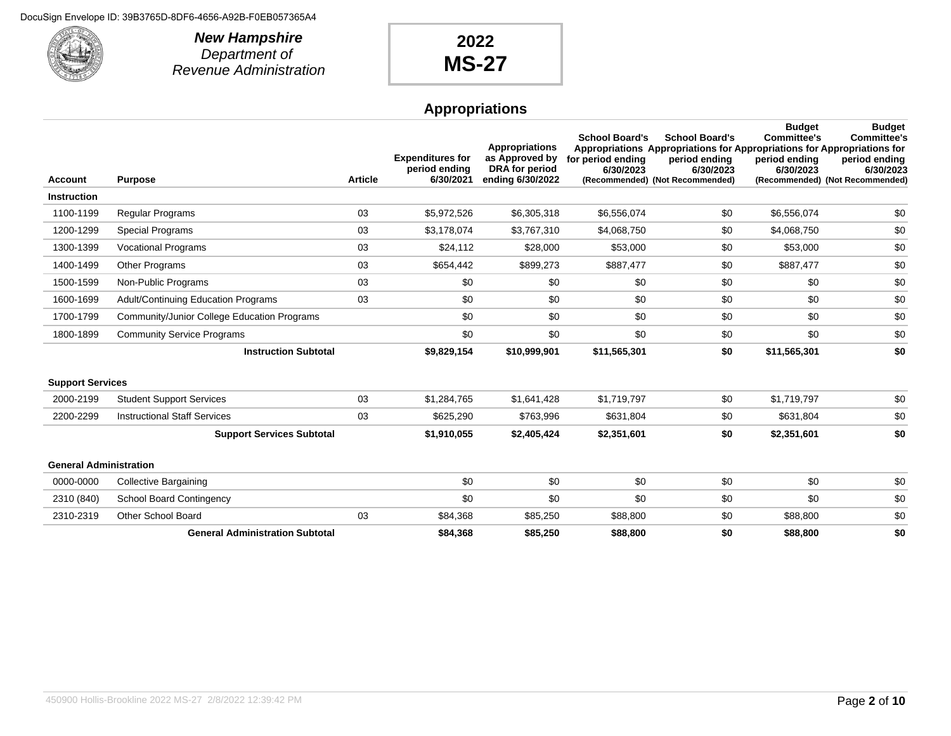

**New Hampshire** Department of Revenue Administration

## **2022 MS-27**

### **Appropriations**

| <b>Account</b>                | <b>Purpose</b>                              | <b>Article</b> | <b>Expenditures for</b><br>period ending<br>6/30/2021 | <b>Appropriations</b><br>as Approved by<br>DRA for period<br>ending 6/30/2022 | <b>School Board's</b><br>for period ending<br>6/30/2023 | <b>School Board's</b><br>Appropriations Appropriations for Appropriations for Appropriations for<br>period ending<br>6/30/2023<br>(Recommended) (Not Recommended) | <b>Budget</b><br><b>Committee's</b><br>period ending<br>6/30/2023 | <b>Budget</b><br><b>Committee's</b><br>period ending<br>6/30/2023<br>(Recommended) (Not Recommended) |
|-------------------------------|---------------------------------------------|----------------|-------------------------------------------------------|-------------------------------------------------------------------------------|---------------------------------------------------------|-------------------------------------------------------------------------------------------------------------------------------------------------------------------|-------------------------------------------------------------------|------------------------------------------------------------------------------------------------------|
| <b>Instruction</b>            |                                             |                |                                                       |                                                                               |                                                         |                                                                                                                                                                   |                                                                   |                                                                                                      |
| 1100-1199                     | <b>Regular Programs</b>                     | 03             | \$5,972,526                                           | \$6,305,318                                                                   | \$6,556,074                                             | \$0                                                                                                                                                               | \$6,556,074                                                       | \$0                                                                                                  |
| 1200-1299                     | <b>Special Programs</b>                     | 03             | \$3,178,074                                           | \$3,767,310                                                                   | \$4,068,750                                             | \$0                                                                                                                                                               | \$4,068,750                                                       | \$0                                                                                                  |
| 1300-1399                     | <b>Vocational Programs</b>                  | 03             | \$24,112                                              | \$28,000                                                                      | \$53,000                                                | \$0                                                                                                                                                               | \$53,000                                                          | \$0                                                                                                  |
| 1400-1499                     | Other Programs                              | 03             | \$654,442                                             | \$899,273                                                                     | \$887,477                                               | \$0                                                                                                                                                               | \$887,477                                                         | \$0                                                                                                  |
| 1500-1599                     | Non-Public Programs                         | 03             | \$0                                                   | \$0                                                                           | \$0                                                     | \$0                                                                                                                                                               | \$0                                                               | \$0                                                                                                  |
| 1600-1699                     | Adult/Continuing Education Programs         | 03             | \$0                                                   | \$0                                                                           | \$0                                                     | \$0                                                                                                                                                               | \$0                                                               | \$0                                                                                                  |
| 1700-1799                     | Community/Junior College Education Programs |                | \$0                                                   | \$0                                                                           | \$0                                                     | \$0                                                                                                                                                               | \$0                                                               | \$0                                                                                                  |
| 1800-1899                     | <b>Community Service Programs</b>           |                | \$0                                                   | \$0                                                                           | \$0                                                     | \$0                                                                                                                                                               | \$0                                                               | \$0                                                                                                  |
|                               | <b>Instruction Subtotal</b>                 |                | \$9,829,154                                           | \$10,999,901                                                                  | \$11,565,301                                            | \$0                                                                                                                                                               | \$11,565,301                                                      | \$0                                                                                                  |
| <b>Support Services</b>       |                                             |                |                                                       |                                                                               |                                                         |                                                                                                                                                                   |                                                                   |                                                                                                      |
| 2000-2199                     | <b>Student Support Services</b>             | 03             | \$1,284,765                                           | \$1,641,428                                                                   | \$1,719,797                                             | \$0                                                                                                                                                               | \$1,719,797                                                       | \$0                                                                                                  |
| 2200-2299                     | <b>Instructional Staff Services</b>         | 03             | \$625,290                                             | \$763,996                                                                     | \$631,804                                               | \$0                                                                                                                                                               | \$631,804                                                         | \$0                                                                                                  |
|                               | <b>Support Services Subtotal</b>            |                | \$1,910,055                                           | \$2,405,424                                                                   | \$2,351,601                                             | \$0                                                                                                                                                               | \$2,351,601                                                       | \$0                                                                                                  |
| <b>General Administration</b> |                                             |                |                                                       |                                                                               |                                                         |                                                                                                                                                                   |                                                                   |                                                                                                      |
| 0000-0000                     | <b>Collective Bargaining</b>                |                | \$0                                                   | \$0                                                                           | \$0                                                     | \$0                                                                                                                                                               | \$0                                                               | \$0                                                                                                  |
| 2310 (840)                    | <b>School Board Contingency</b>             |                | \$0                                                   | \$0                                                                           | \$0                                                     | \$0                                                                                                                                                               | \$0                                                               | \$0                                                                                                  |
| 2310-2319                     | <b>Other School Board</b>                   | 03             | \$84,368                                              | \$85,250                                                                      | \$88,800                                                | \$0                                                                                                                                                               | \$88,800                                                          | \$0                                                                                                  |
|                               | <b>General Administration Subtotal</b>      |                | \$84,368                                              | \$85,250                                                                      | \$88,800                                                | \$0                                                                                                                                                               | \$88,800                                                          | \$0                                                                                                  |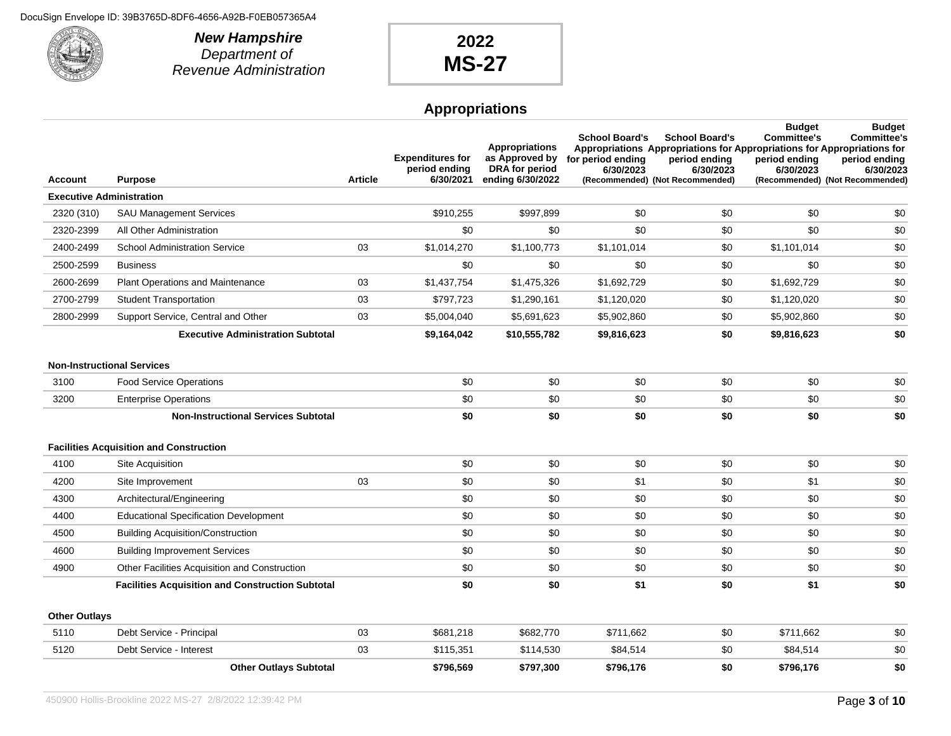

**New Hampshire** Department of Revenue Administration

## **2022 MS-27**

### **Appropriations**

|                                   |                                                         |                | <b>Expenditures for</b>    | <b>Appropriations</b><br>as Approved by   | <b>School Board's</b><br>for period ending | <b>School Board's</b><br>Appropriations Appropriations for Appropriations for Appropriations for<br>period ending | <b>Budget</b><br><b>Committee's</b><br>period ending | <b>Budget</b><br><b>Committee's</b><br>period ending |
|-----------------------------------|---------------------------------------------------------|----------------|----------------------------|-------------------------------------------|--------------------------------------------|-------------------------------------------------------------------------------------------------------------------|------------------------------------------------------|------------------------------------------------------|
| Account                           | Purpose                                                 | <b>Article</b> | period ending<br>6/30/2021 | <b>DRA</b> for period<br>ending 6/30/2022 | 6/30/2023                                  | 6/30/2023<br>(Recommended) (Not Recommended)                                                                      | 6/30/2023                                            | 6/30/2023<br>(Recommended) (Not Recommended)         |
| <b>Executive Administration</b>   |                                                         |                |                            |                                           |                                            |                                                                                                                   |                                                      |                                                      |
| 2320 (310)                        | <b>SAU Management Services</b>                          |                | \$910,255                  | \$997,899                                 | \$0                                        | \$0                                                                                                               | \$0                                                  | \$0                                                  |
| 2320-2399                         | All Other Administration                                |                | \$0                        | \$0                                       | \$0                                        | \$0                                                                                                               | \$0                                                  | \$0                                                  |
| 2400-2499                         | <b>School Administration Service</b>                    | 03             | \$1,014,270                | \$1,100,773                               | \$1,101,014                                | \$0                                                                                                               | \$1,101,014                                          | \$0                                                  |
| 2500-2599                         | <b>Business</b>                                         |                | \$0                        | \$0                                       | \$0                                        | \$0                                                                                                               | \$0                                                  | \$0                                                  |
| 2600-2699                         | Plant Operations and Maintenance                        | 03             | \$1,437,754                | \$1,475,326                               | \$1,692,729                                | \$0                                                                                                               | \$1,692,729                                          | \$0                                                  |
| 2700-2799                         | <b>Student Transportation</b>                           | 03             | \$797,723                  | \$1,290,161                               | \$1,120,020                                | \$0                                                                                                               | \$1,120,020                                          | \$0                                                  |
| 2800-2999                         | Support Service, Central and Other                      | 03             | \$5,004,040                | \$5,691,623                               | \$5,902,860                                | \$0                                                                                                               | \$5,902,860                                          | \$0                                                  |
|                                   | <b>Executive Administration Subtotal</b>                |                | \$9,164,042                | \$10,555,782                              | \$9,816,623                                | \$0                                                                                                               | \$9,816,623                                          | \$0                                                  |
| <b>Non-Instructional Services</b> |                                                         |                |                            |                                           |                                            |                                                                                                                   |                                                      |                                                      |
| 3100                              | <b>Food Service Operations</b>                          |                | \$0                        | \$0                                       | \$0                                        | \$0                                                                                                               | \$0                                                  | \$0                                                  |
| 3200                              | <b>Enterprise Operations</b>                            |                | \$0                        | \$0                                       | \$0                                        | \$0                                                                                                               | \$0                                                  | \$0                                                  |
|                                   | <b>Non-Instructional Services Subtotal</b>              |                | \$0                        | \$0                                       | \$0                                        | \$0                                                                                                               | \$0                                                  | \$0                                                  |
|                                   | <b>Facilities Acquisition and Construction</b>          |                |                            |                                           |                                            |                                                                                                                   |                                                      |                                                      |
| 4100                              | Site Acquisition                                        |                | \$0                        | \$0                                       | \$0                                        | \$0                                                                                                               | \$0                                                  | \$0                                                  |
| 4200                              | Site Improvement                                        | 03             | \$0                        | \$0                                       | \$1                                        | \$0                                                                                                               | \$1                                                  | \$0                                                  |
| 4300                              | Architectural/Engineering                               |                | \$0                        | \$0                                       | \$0                                        | \$0                                                                                                               | \$0                                                  | \$0                                                  |
| 4400                              | <b>Educational Specification Development</b>            |                | \$0                        | \$0                                       | \$0                                        | \$0                                                                                                               | \$0                                                  | \$0                                                  |
| 4500                              | <b>Building Acquisition/Construction</b>                |                | \$0                        | \$0                                       | \$0                                        | \$0                                                                                                               | \$0                                                  | \$0                                                  |
| 4600                              | <b>Building Improvement Services</b>                    |                | \$0                        | \$0                                       | \$0                                        | \$0                                                                                                               | \$0                                                  | \$0                                                  |
| 4900                              | <b>Other Facilities Acquisition and Construction</b>    |                | \$0                        | \$0                                       | \$0                                        | \$0                                                                                                               | \$0                                                  | \$0                                                  |
|                                   | <b>Facilities Acquisition and Construction Subtotal</b> |                | \$0                        | \$0                                       | \$1                                        | \$0                                                                                                               | \$1                                                  | \$0                                                  |
| <b>Other Outlays</b>              |                                                         |                |                            |                                           |                                            |                                                                                                                   |                                                      |                                                      |
| 5110                              | Debt Service - Principal                                | 03             | \$681,218                  | \$682,770                                 | \$711,662                                  | \$0                                                                                                               | \$711,662                                            | \$0                                                  |
| 5120                              | Debt Service - Interest                                 | 03             | \$115,351                  | \$114,530                                 | \$84,514                                   | \$0                                                                                                               | \$84,514                                             | \$0                                                  |
|                                   | <b>Other Outlays Subtotal</b>                           |                | \$796,569                  | \$797,300                                 | \$796,176                                  | \$0                                                                                                               | \$796.176                                            | \$0                                                  |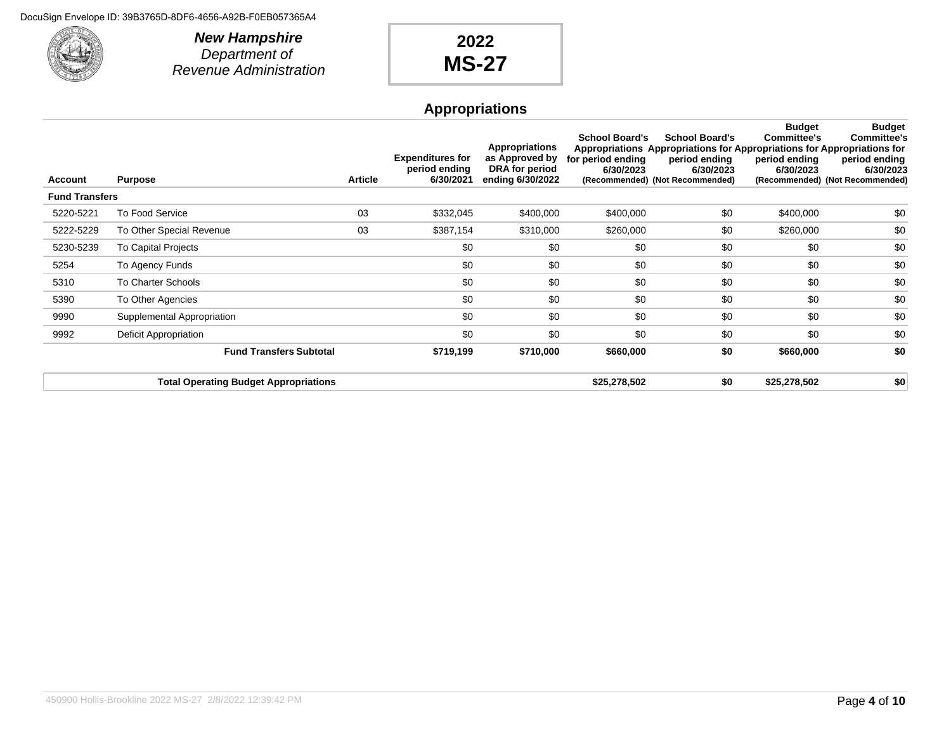

**New Hampshire** Department of Revenue Administration

# **2022 MS-27**

### **Appropriations**

| Account               | <b>Purpose</b>                               | <b>Article</b> | <b>Expenditures for</b><br>period ending<br>6/30/2021 | <b>Appropriations</b><br>as Approved by<br>DRA for period<br>ending 6/30/2022 | <b>School Board's</b><br>for period ending<br>6/30/2023 | <b>School Board's</b><br>Appropriations Appropriations for Appropriations for Appropriations for<br>period ending<br>6/30/2023<br>(Recommended) (Not Recommended) | <b>Budget</b><br>Committee's<br>period ending<br>6/30/2023 | <b>Budget</b><br><b>Committee's</b><br>period ending<br>6/30/2023<br>(Recommended) (Not Recommended) |
|-----------------------|----------------------------------------------|----------------|-------------------------------------------------------|-------------------------------------------------------------------------------|---------------------------------------------------------|-------------------------------------------------------------------------------------------------------------------------------------------------------------------|------------------------------------------------------------|------------------------------------------------------------------------------------------------------|
| <b>Fund Transfers</b> |                                              |                |                                                       |                                                                               |                                                         |                                                                                                                                                                   |                                                            |                                                                                                      |
| 5220-5221             | To Food Service                              | 03             | \$332,045                                             | \$400,000                                                                     | \$400,000                                               | \$0                                                                                                                                                               | \$400,000                                                  | \$0                                                                                                  |
| 5222-5229             | To Other Special Revenue                     | 03             | \$387,154                                             | \$310,000                                                                     | \$260,000                                               | \$0                                                                                                                                                               | \$260,000                                                  | \$0                                                                                                  |
| 5230-5239             | To Capital Projects                          |                | \$0                                                   | \$0                                                                           | \$0                                                     | \$0                                                                                                                                                               | \$0                                                        | \$0                                                                                                  |
| 5254                  | To Agency Funds                              |                | \$0                                                   | \$0                                                                           | \$0                                                     | \$0                                                                                                                                                               | \$0                                                        | \$0                                                                                                  |
| 5310                  | To Charter Schools                           |                | \$0                                                   | \$0                                                                           | \$0                                                     | \$0                                                                                                                                                               | \$0                                                        | \$0                                                                                                  |
| 5390                  | To Other Agencies                            |                | \$0                                                   | \$0                                                                           | \$0                                                     | \$0                                                                                                                                                               | \$0                                                        | \$0                                                                                                  |
| 9990                  | Supplemental Appropriation                   |                | \$0                                                   | \$0                                                                           | \$0                                                     | \$0                                                                                                                                                               | \$0                                                        | \$0                                                                                                  |
| 9992                  | Deficit Appropriation                        |                | \$0                                                   | \$0                                                                           | \$0                                                     | \$0                                                                                                                                                               | \$0                                                        | \$0                                                                                                  |
|                       | <b>Fund Transfers Subtotal</b>               |                | \$719,199                                             | \$710,000                                                                     | \$660,000                                               | \$0                                                                                                                                                               | \$660,000                                                  | \$0                                                                                                  |
|                       | <b>Total Operating Budget Appropriations</b> |                |                                                       |                                                                               | \$25,278,502                                            | \$0                                                                                                                                                               | \$25,278,502                                               | \$0                                                                                                  |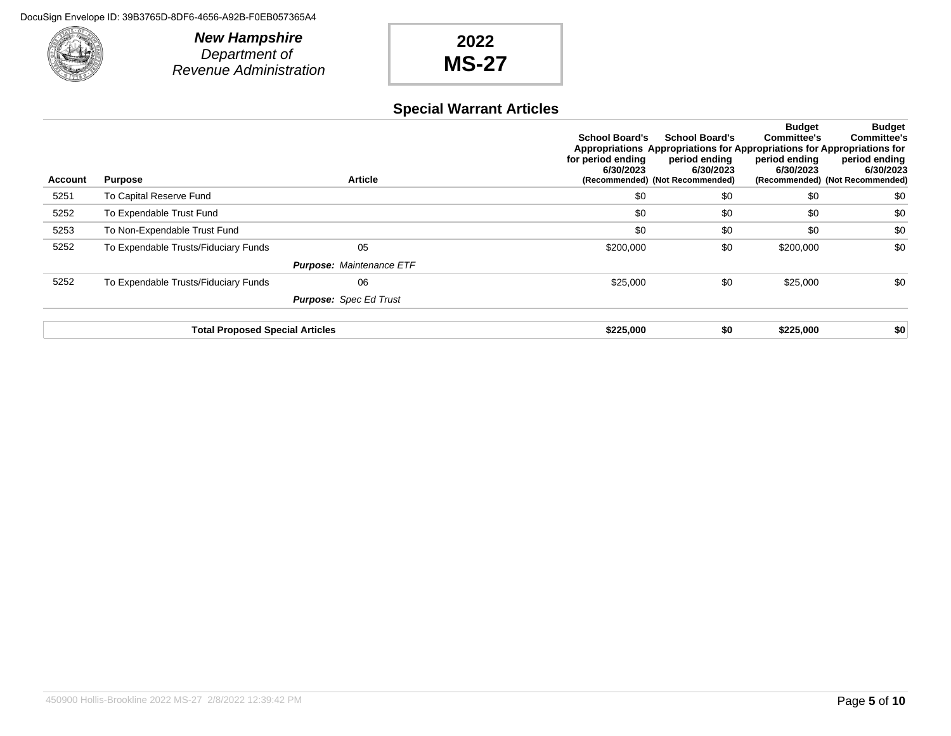

# **2022 MS-27**

#### **Special Warrant Articles**

| Account | <b>Purpose</b>                         | <b>Article</b>                  | <b>School Board's</b><br>for period ending<br>6/30/2023 | <b>School Board's</b><br>Appropriations Appropriations for Appropriations for Appropriations for<br>period ending<br>6/30/2023<br>(Recommended) (Not Recommended) | <b>Budget</b><br><b>Committee's</b><br>period ending<br>6/30/2023 | <b>Budget</b><br><b>Committee's</b><br>period ending<br>6/30/2023<br>(Recommended) (Not Recommended) |
|---------|----------------------------------------|---------------------------------|---------------------------------------------------------|-------------------------------------------------------------------------------------------------------------------------------------------------------------------|-------------------------------------------------------------------|------------------------------------------------------------------------------------------------------|
| 5251    | To Capital Reserve Fund                |                                 | \$0                                                     | \$0                                                                                                                                                               | \$0                                                               | \$0                                                                                                  |
| 5252    | To Expendable Trust Fund               |                                 | \$0                                                     | \$0                                                                                                                                                               | \$0                                                               | \$0                                                                                                  |
| 5253    | To Non-Expendable Trust Fund           |                                 | \$0                                                     | \$0                                                                                                                                                               | \$0                                                               | \$0                                                                                                  |
| 5252    | To Expendable Trusts/Fiduciary Funds   | 05                              | \$200,000                                               | \$0                                                                                                                                                               | \$200,000                                                         | \$0                                                                                                  |
|         |                                        | <b>Purpose: Maintenance ETF</b> |                                                         |                                                                                                                                                                   |                                                                   |                                                                                                      |
| 5252    | To Expendable Trusts/Fiduciary Funds   | 06                              | \$25,000                                                | \$0                                                                                                                                                               | \$25,000                                                          | \$0                                                                                                  |
|         |                                        | <b>Purpose:</b> Spec Ed Trust   |                                                         |                                                                                                                                                                   |                                                                   |                                                                                                      |
|         | <b>Total Proposed Special Articles</b> |                                 | \$225,000                                               | \$0                                                                                                                                                               | \$225,000                                                         | \$0                                                                                                  |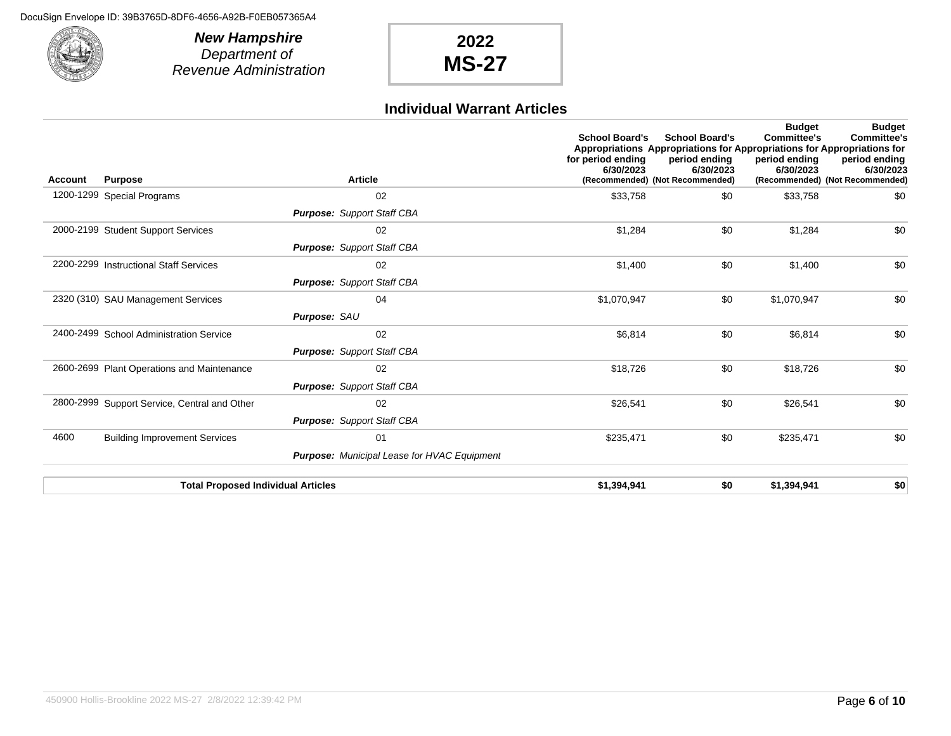

**New Hampshire** Department of Revenue Administration

# **2022 MS-27**

#### **Individual Warrant Articles**

| Account | <b>Purpose</b>                               | <b>Article</b>                                     | <b>School Board's</b><br>for period ending<br>6/30/2023 | <b>School Board's</b><br>Appropriations Appropriations for Appropriations for Appropriations for<br>period ending<br>6/30/2023<br>(Recommended) (Not Recommended) | <b>Budget</b><br><b>Committee's</b><br>period ending<br>6/30/2023 | <b>Budget</b><br><b>Committee's</b><br>period ending<br>6/30/2023<br>(Recommended) (Not Recommended) |
|---------|----------------------------------------------|----------------------------------------------------|---------------------------------------------------------|-------------------------------------------------------------------------------------------------------------------------------------------------------------------|-------------------------------------------------------------------|------------------------------------------------------------------------------------------------------|
|         | 1200-1299 Special Programs                   | 02                                                 | \$33,758                                                | \$0                                                                                                                                                               | \$33,758                                                          | \$0                                                                                                  |
|         |                                              | <b>Purpose:</b> Support Staff CBA                  |                                                         |                                                                                                                                                                   |                                                                   |                                                                                                      |
|         | 2000-2199 Student Support Services           | 02                                                 | \$1,284                                                 | \$0                                                                                                                                                               | \$1,284                                                           | \$0                                                                                                  |
|         |                                              | <b>Purpose:</b> Support Staff CBA                  |                                                         |                                                                                                                                                                   |                                                                   |                                                                                                      |
|         | 2200-2299 Instructional Staff Services       | 02                                                 | \$1,400                                                 | \$0                                                                                                                                                               | \$1,400                                                           | \$0                                                                                                  |
|         |                                              | <b>Purpose:</b> Support Staff CBA                  |                                                         |                                                                                                                                                                   |                                                                   |                                                                                                      |
|         | 2320 (310) SAU Management Services           | 04                                                 | \$1,070,947                                             | \$0                                                                                                                                                               | \$1,070,947                                                       | \$0                                                                                                  |
|         |                                              | Purpose: SAU                                       |                                                         |                                                                                                                                                                   |                                                                   |                                                                                                      |
|         | 2400-2499 School Administration Service      | 02                                                 | \$6,814                                                 | \$0                                                                                                                                                               | \$6,814                                                           | \$0                                                                                                  |
|         |                                              | <b>Purpose:</b> Support Staff CBA                  |                                                         |                                                                                                                                                                   |                                                                   |                                                                                                      |
|         | 2600-2699 Plant Operations and Maintenance   | 02                                                 | \$18,726                                                | \$0                                                                                                                                                               | \$18,726                                                          | \$0                                                                                                  |
|         |                                              | <b>Purpose: Support Staff CBA</b>                  |                                                         |                                                                                                                                                                   |                                                                   |                                                                                                      |
|         | 2800-2999 Support Service, Central and Other | 02                                                 | \$26,541                                                | \$0                                                                                                                                                               | \$26,541                                                          | \$0                                                                                                  |
|         |                                              | <b>Purpose: Support Staff CBA</b>                  |                                                         |                                                                                                                                                                   |                                                                   |                                                                                                      |
| 4600    | <b>Building Improvement Services</b>         | 01                                                 | \$235,471                                               | \$0                                                                                                                                                               | \$235,471                                                         | \$0                                                                                                  |
|         |                                              | <b>Purpose:</b> Municipal Lease for HVAC Equipment |                                                         |                                                                                                                                                                   |                                                                   |                                                                                                      |
|         | <b>Total Proposed Individual Articles</b>    |                                                    | \$1,394,941                                             | \$0                                                                                                                                                               | \$1,394,941                                                       | \$0                                                                                                  |
|         |                                              |                                                    |                                                         |                                                                                                                                                                   |                                                                   |                                                                                                      |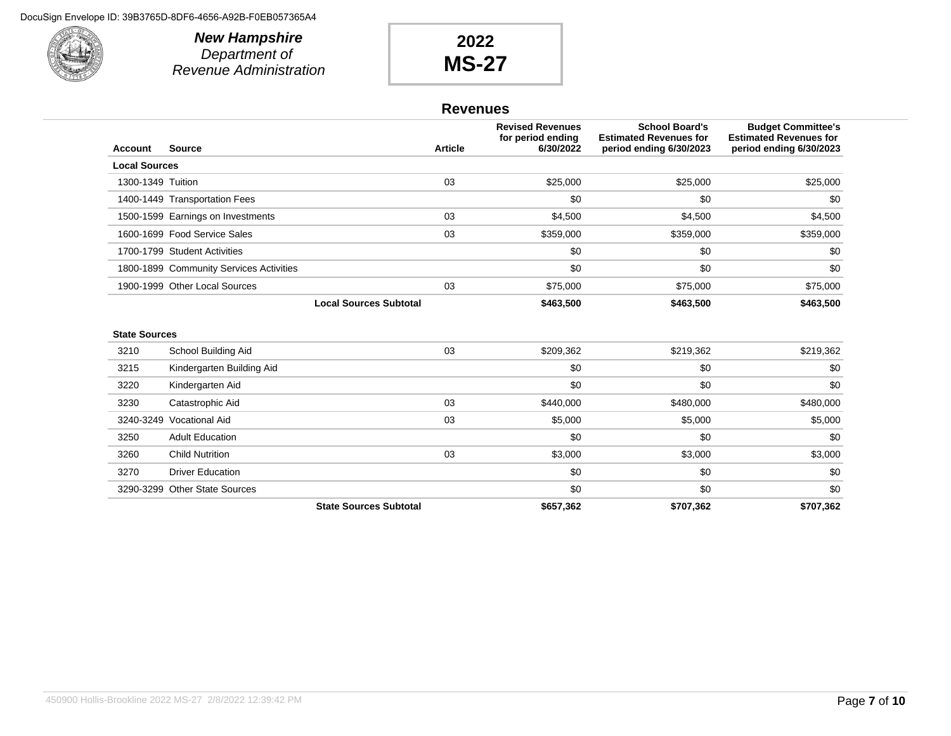

**New Hampshire** Department of Revenue Administration

# **2022 MS-27**

#### **Revenues**

| Account              | <b>Source</b>                           | <b>Article</b>                | <b>Revised Revenues</b><br>for period ending<br>6/30/2022 | <b>School Board's</b><br><b>Estimated Revenues for</b><br>period ending 6/30/2023 | <b>Budget Committee's</b><br><b>Estimated Revenues for</b><br>period ending 6/30/2023 |
|----------------------|-----------------------------------------|-------------------------------|-----------------------------------------------------------|-----------------------------------------------------------------------------------|---------------------------------------------------------------------------------------|
| <b>Local Sources</b> |                                         |                               |                                                           |                                                                                   |                                                                                       |
| 1300-1349 Tuition    |                                         | 03                            | \$25,000                                                  | \$25,000                                                                          | \$25,000                                                                              |
|                      | 1400-1449 Transportation Fees           |                               | \$0                                                       | \$0                                                                               | \$0                                                                                   |
|                      | 1500-1599 Earnings on Investments       | 03                            | \$4,500                                                   | \$4,500                                                                           | \$4,500                                                                               |
|                      | 1600-1699 Food Service Sales            | 03                            | \$359,000                                                 | \$359,000                                                                         | \$359,000                                                                             |
|                      | 1700-1799 Student Activities            |                               | \$0                                                       | \$0                                                                               | \$0                                                                                   |
|                      | 1800-1899 Community Services Activities |                               | \$0                                                       | \$0                                                                               | \$0                                                                                   |
|                      | 1900-1999 Other Local Sources           | 03                            | \$75,000                                                  | \$75,000                                                                          | \$75,000                                                                              |
|                      |                                         | <b>Local Sources Subtotal</b> | \$463,500                                                 | \$463,500                                                                         | \$463,500                                                                             |
| <b>State Sources</b> | School Building Aid                     | 03                            | \$209,362                                                 | \$219,362                                                                         | \$219,362                                                                             |
| 3210                 |                                         |                               |                                                           |                                                                                   |                                                                                       |
| 3215                 | Kindergarten Building Aid               |                               | \$0                                                       | \$0                                                                               | \$0                                                                                   |
| 3220                 | Kindergarten Aid                        |                               | \$0                                                       | \$0                                                                               | \$0                                                                                   |
| 3230                 | Catastrophic Aid                        | 03                            | \$440,000                                                 | \$480,000                                                                         | \$480,000                                                                             |
| 3240-3249            | <b>Vocational Aid</b>                   | 03                            | \$5,000                                                   | \$5,000                                                                           | \$5,000                                                                               |
| 3250                 | <b>Adult Education</b>                  |                               | \$0                                                       | \$0                                                                               | \$0                                                                                   |
| 3260                 | <b>Child Nutrition</b>                  | 03                            | \$3,000                                                   | \$3,000                                                                           | \$3,000                                                                               |
| 3270                 | <b>Driver Education</b>                 |                               | \$0                                                       | \$0                                                                               | \$0                                                                                   |
|                      | 3290-3299 Other State Sources           |                               | \$0                                                       | \$0                                                                               | \$0                                                                                   |
|                      |                                         | <b>State Sources Subtotal</b> | \$657.362                                                 | \$707.362                                                                         | \$707.362                                                                             |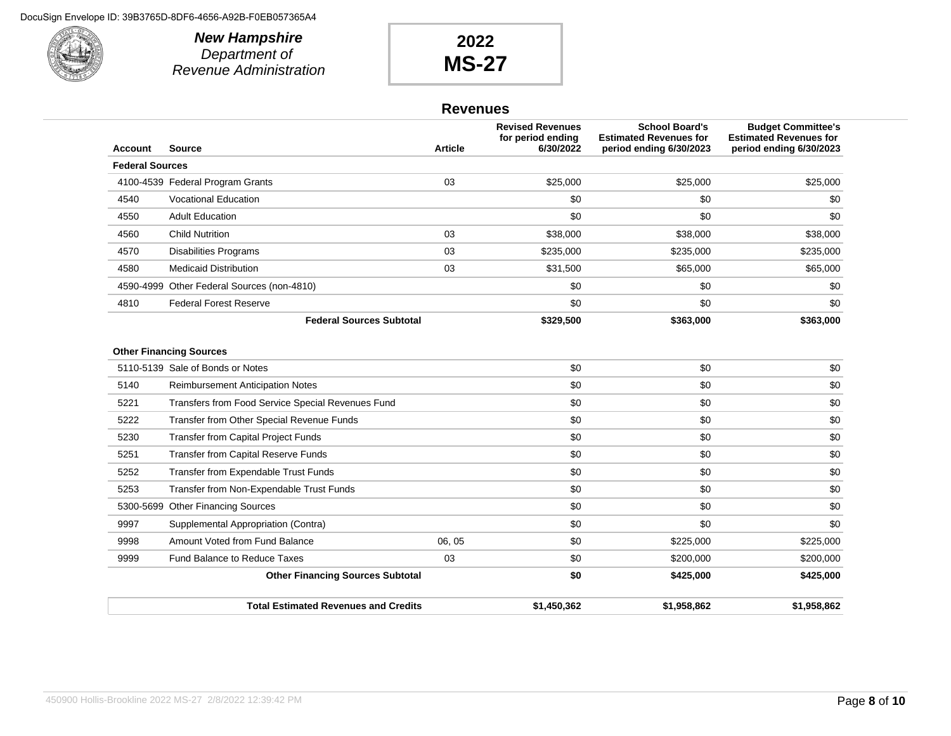

**New Hampshire** Department of Revenue Administration

# **2022 MS-27**

#### **Revenues**

| <b>Account</b>         | Source                                            | <b>Article</b> | <b>Revised Revenues</b><br>for period ending<br>6/30/2022 | <b>School Board's</b><br><b>Estimated Revenues for</b><br>period ending 6/30/2023 | <b>Budget Committee's</b><br><b>Estimated Revenues for</b><br>period ending 6/30/2023 |
|------------------------|---------------------------------------------------|----------------|-----------------------------------------------------------|-----------------------------------------------------------------------------------|---------------------------------------------------------------------------------------|
| <b>Federal Sources</b> |                                                   |                |                                                           |                                                                                   |                                                                                       |
|                        | 4100-4539 Federal Program Grants                  | 03             | \$25,000                                                  | \$25,000                                                                          | \$25,000                                                                              |
| 4540                   | <b>Vocational Education</b>                       |                | \$0                                                       | \$0                                                                               | \$0                                                                                   |
| 4550                   | <b>Adult Education</b>                            |                | \$0                                                       | \$0                                                                               | \$0                                                                                   |
| 4560                   | <b>Child Nutrition</b>                            | 03             | \$38,000                                                  | \$38,000                                                                          | \$38,000                                                                              |
| 4570                   | <b>Disabilities Programs</b>                      | 03             | \$235,000                                                 | \$235,000                                                                         | \$235,000                                                                             |
| 4580                   | <b>Medicaid Distribution</b>                      | 03             | \$31,500                                                  | \$65,000                                                                          | \$65,000                                                                              |
|                        | 4590-4999 Other Federal Sources (non-4810)        |                | \$0                                                       | \$0                                                                               | \$0                                                                                   |
| 4810                   | <b>Federal Forest Reserve</b>                     |                | \$0                                                       | \$0                                                                               | \$0                                                                                   |
|                        | <b>Federal Sources Subtotal</b>                   |                | \$329,500                                                 | \$363,000                                                                         | \$363,000                                                                             |
|                        | 5110-5139 Sale of Bonds or Notes                  |                | \$0                                                       | \$0                                                                               | \$0                                                                                   |
|                        | <b>Other Financing Sources</b>                    |                |                                                           |                                                                                   |                                                                                       |
| 5140                   | <b>Reimbursement Anticipation Notes</b>           |                | \$0                                                       | \$0                                                                               | \$0                                                                                   |
| 5221                   | Transfers from Food Service Special Revenues Fund |                | \$0                                                       | \$0                                                                               | \$0                                                                                   |
| 5222                   | Transfer from Other Special Revenue Funds         |                | \$0                                                       | \$0                                                                               | \$0                                                                                   |
| 5230                   | Transfer from Capital Project Funds               |                | \$0                                                       | \$0                                                                               | \$0                                                                                   |
| 5251                   | <b>Transfer from Capital Reserve Funds</b>        |                | \$0                                                       | \$0                                                                               | \$0                                                                                   |
| 5252                   | Transfer from Expendable Trust Funds              |                | \$0                                                       | \$0                                                                               | \$0                                                                                   |
| 5253                   | Transfer from Non-Expendable Trust Funds          |                | \$0                                                       | \$0                                                                               | \$0                                                                                   |
|                        | 5300-5699 Other Financing Sources                 |                | \$0                                                       | \$0                                                                               | \$0                                                                                   |
| 9997                   | Supplemental Appropriation (Contra)               |                | \$0                                                       | \$0                                                                               | \$0                                                                                   |
| 9998                   | Amount Voted from Fund Balance                    | 06, 05         | \$0                                                       | \$225,000                                                                         | \$225,000                                                                             |
| 9999                   | Fund Balance to Reduce Taxes                      | 03             | \$0                                                       | \$200,000                                                                         | \$200,000                                                                             |
|                        | <b>Other Financing Sources Subtotal</b>           |                | \$0                                                       | \$425,000                                                                         | \$425,000                                                                             |
|                        | <b>Total Estimated Revenues and Credits</b>       |                | \$1,450,362                                               | \$1.958.862                                                                       | \$1,958,862                                                                           |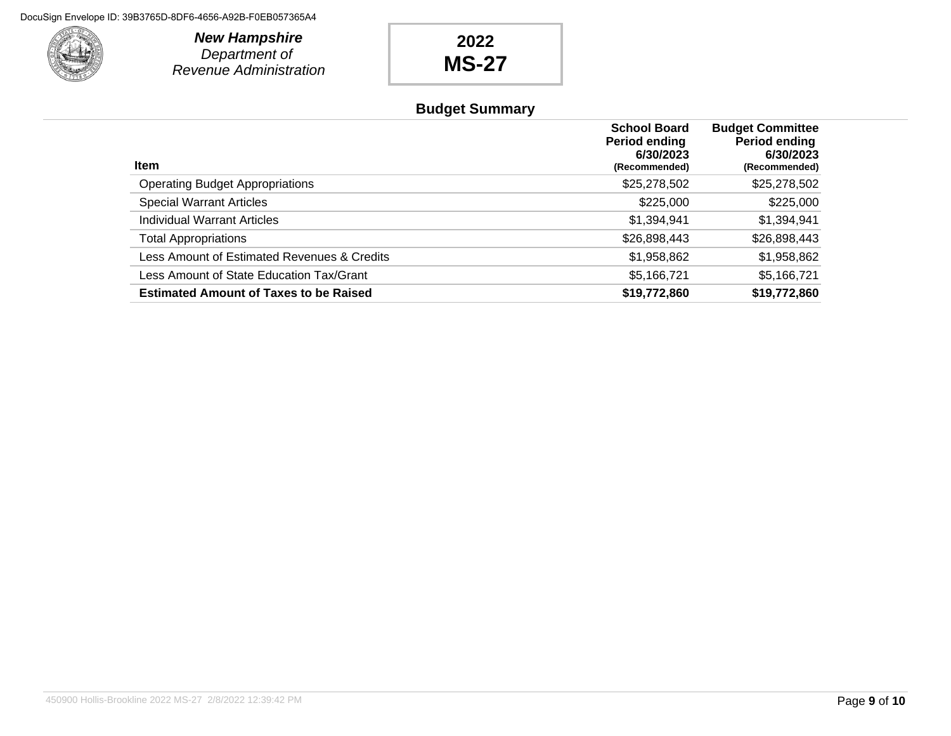

**New Hampshire** Department of Revenue Administration

# **2022 MS-27**

### **Budget Summary**

| <b>Item</b>                                   | <b>School Board</b><br>Period ending<br>6/30/2023<br>(Recommended) | <b>Budget Committee</b><br>Period ending<br>6/30/2023<br>(Recommended) |
|-----------------------------------------------|--------------------------------------------------------------------|------------------------------------------------------------------------|
| <b>Operating Budget Appropriations</b>        | \$25,278,502                                                       | \$25,278,502                                                           |
| <b>Special Warrant Articles</b>               | \$225,000                                                          | \$225,000                                                              |
| <b>Individual Warrant Articles</b>            | \$1,394,941                                                        | \$1,394,941                                                            |
| <b>Total Appropriations</b>                   | \$26,898,443                                                       | \$26,898,443                                                           |
| Less Amount of Estimated Revenues & Credits   | \$1,958,862                                                        | \$1,958,862                                                            |
| Less Amount of State Education Tax/Grant      | \$5,166,721                                                        | \$5,166,721                                                            |
| <b>Estimated Amount of Taxes to be Raised</b> | \$19,772,860                                                       | \$19,772,860                                                           |